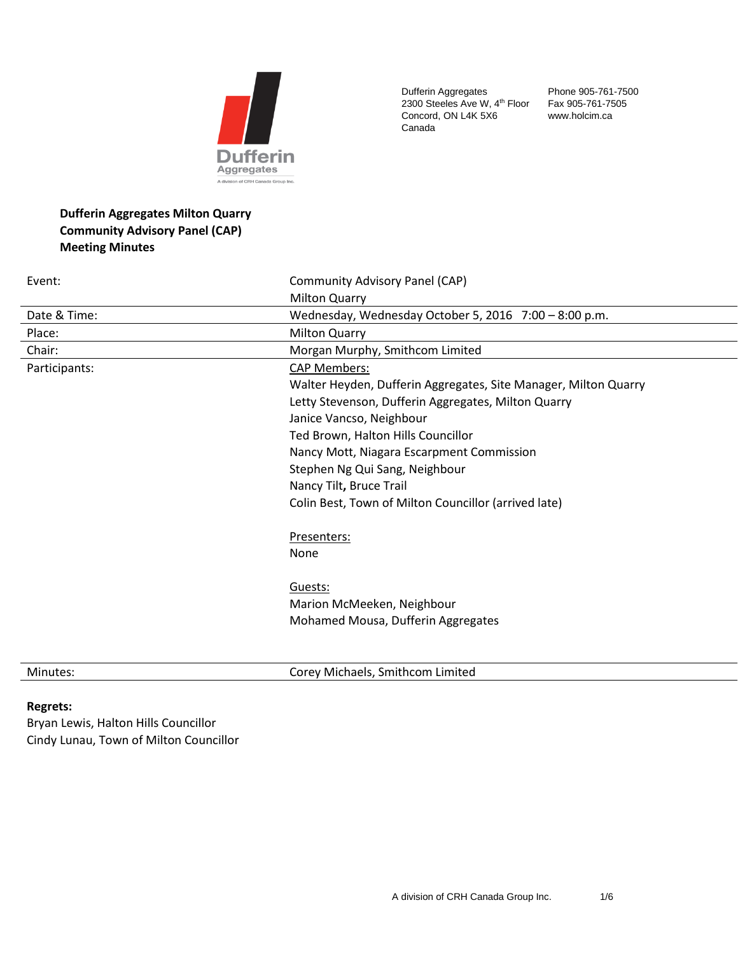

Dufferin Aggregates 2300 Steeles Ave W, 4<sup>th</sup> Floor Concord, ON L4K 5X6 Canada

Phone 905-761-7500 Fax 905-761-7505 www.holcim.ca

# **Dufferin Aggregates Milton Quarry Community Advisory Panel (CAP) Meeting Minutes**

| Event:        | Community Advisory Panel (CAP)                                  |
|---------------|-----------------------------------------------------------------|
|               | <b>Milton Quarry</b>                                            |
| Date & Time:  | Wednesday, Wednesday October 5, 2016 7:00 - 8:00 p.m.           |
| Place:        | <b>Milton Quarry</b>                                            |
| Chair:        | Morgan Murphy, Smithcom Limited                                 |
| Participants: | <b>CAP Members:</b>                                             |
|               | Walter Heyden, Dufferin Aggregates, Site Manager, Milton Quarry |
|               | Letty Stevenson, Dufferin Aggregates, Milton Quarry             |
|               | Janice Vancso, Neighbour                                        |
|               | Ted Brown, Halton Hills Councillor                              |
|               | Nancy Mott, Niagara Escarpment Commission                       |
|               | Stephen Ng Qui Sang, Neighbour                                  |
|               | Nancy Tilt, Bruce Trail                                         |
|               | Colin Best, Town of Milton Councillor (arrived late)            |
|               | Presenters:                                                     |
|               | None                                                            |
|               | Guests:                                                         |
|               | Marion McMeeken, Neighbour                                      |
|               | Mohamed Mousa, Dufferin Aggregates                              |
|               |                                                                 |

Minutes: Corey Michaels, Smithcom Limited

### **Regrets:**

Bryan Lewis, Halton Hills Councillor Cindy Lunau, Town of Milton Councillor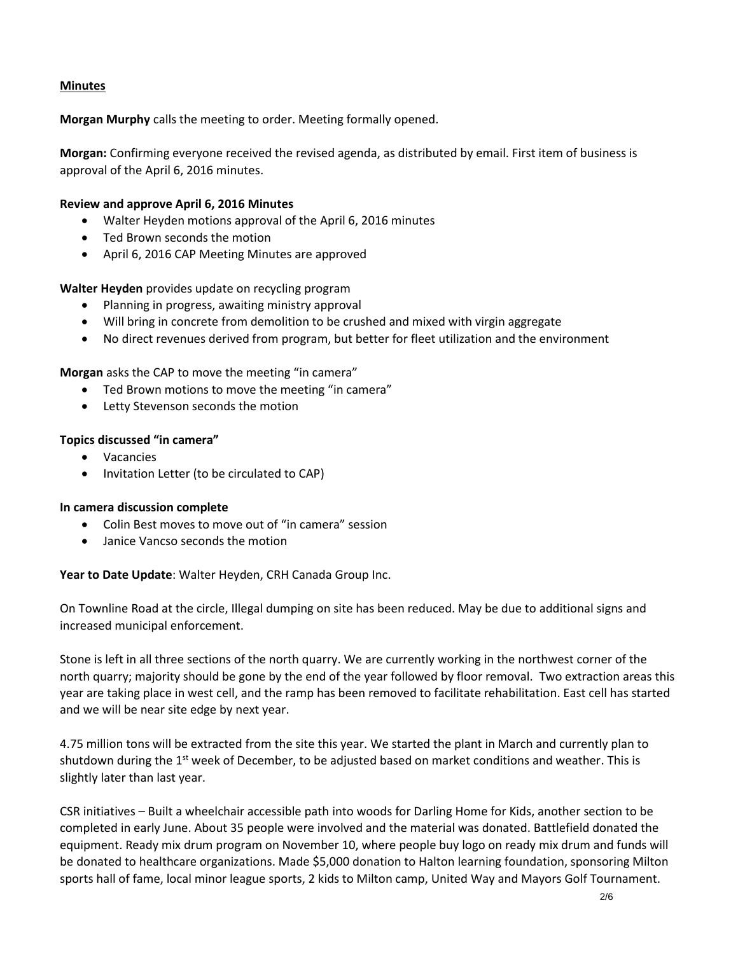## **Minutes**

**Morgan Murphy** calls the meeting to order. Meeting formally opened.

**Morgan:** Confirming everyone received the revised agenda, as distributed by email. First item of business is approval of the April 6, 2016 minutes.

## **Review and approve April 6, 2016 Minutes**

- Walter Heyden motions approval of the April 6, 2016 minutes
- Ted Brown seconds the motion
- April 6, 2016 CAP Meeting Minutes are approved

**Walter Heyden** provides update on recycling program

- Planning in progress, awaiting ministry approval
- Will bring in concrete from demolition to be crushed and mixed with virgin aggregate
- No direct revenues derived from program, but better for fleet utilization and the environment

**Morgan** asks the CAP to move the meeting "in camera"

- Ted Brown motions to move the meeting "in camera"
- Letty Stevenson seconds the motion

## **Topics discussed "in camera"**

- Vacancies
- Invitation Letter (to be circulated to CAP)

## **In camera discussion complete**

- Colin Best moves to move out of "in camera" session
- Janice Vancso seconds the motion

**Year to Date Update**: Walter Heyden, CRH Canada Group Inc.

On Townline Road at the circle, Illegal dumping on site has been reduced. May be due to additional signs and increased municipal enforcement.

Stone is left in all three sections of the north quarry. We are currently working in the northwest corner of the north quarry; majority should be gone by the end of the year followed by floor removal. Two extraction areas this year are taking place in west cell, and the ramp has been removed to facilitate rehabilitation. East cell has started and we will be near site edge by next year.

4.75 million tons will be extracted from the site this year. We started the plant in March and currently plan to shutdown during the 1<sup>st</sup> week of December, to be adjusted based on market conditions and weather. This is slightly later than last year.

CSR initiatives – Built a wheelchair accessible path into woods for Darling Home for Kids, another section to be completed in early June. About 35 people were involved and the material was donated. Battlefield donated the equipment. Ready mix drum program on November 10, where people buy logo on ready mix drum and funds will be donated to healthcare organizations. Made \$5,000 donation to Halton learning foundation, sponsoring Milton sports hall of fame, local minor league sports, 2 kids to Milton camp, United Way and Mayors Golf Tournament.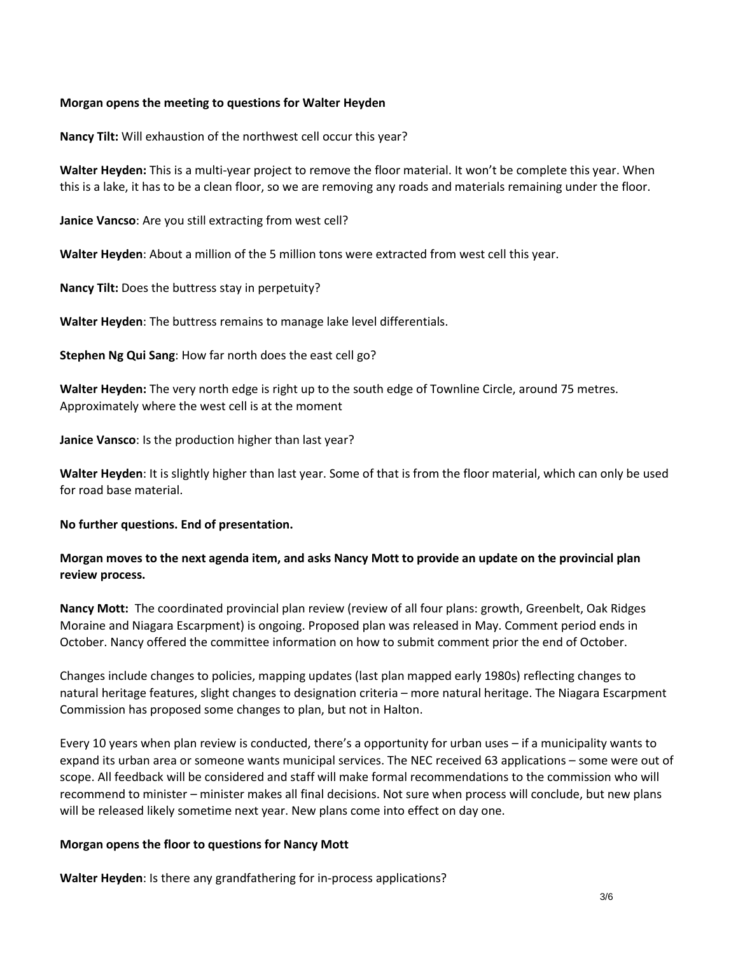## **Morgan opens the meeting to questions for Walter Heyden**

**Nancy Tilt:** Will exhaustion of the northwest cell occur this year?

**Walter Heyden:** This is a multi-year project to remove the floor material. It won't be complete this year. When this is a lake, it has to be a clean floor, so we are removing any roads and materials remaining under the floor.

**Janice Vancso**: Are you still extracting from west cell?

**Walter Heyden**: About a million of the 5 million tons were extracted from west cell this year.

**Nancy Tilt:** Does the buttress stay in perpetuity?

**Walter Heyden**: The buttress remains to manage lake level differentials.

**Stephen Ng Qui Sang**: How far north does the east cell go?

**Walter Heyden:** The very north edge is right up to the south edge of Townline Circle, around 75 metres. Approximately where the west cell is at the moment

**Janice Vansco**: Is the production higher than last year?

**Walter Heyden**: It is slightly higher than last year. Some of that is from the floor material, which can only be used for road base material.

### **No further questions. End of presentation.**

## **Morgan moves to the next agenda item, and asks Nancy Mott to provide an update on the provincial plan review process.**

**Nancy Mott:** The coordinated provincial plan review (review of all four plans: growth, Greenbelt, Oak Ridges Moraine and Niagara Escarpment) is ongoing. Proposed plan was released in May. Comment period ends in October. Nancy offered the committee information on how to submit comment prior the end of October.

Changes include changes to policies, mapping updates (last plan mapped early 1980s) reflecting changes to natural heritage features, slight changes to designation criteria – more natural heritage. The Niagara Escarpment Commission has proposed some changes to plan, but not in Halton.

Every 10 years when plan review is conducted, there's a opportunity for urban uses – if a municipality wants to expand its urban area or someone wants municipal services. The NEC received 63 applications – some were out of scope. All feedback will be considered and staff will make formal recommendations to the commission who will recommend to minister – minister makes all final decisions. Not sure when process will conclude, but new plans will be released likely sometime next year. New plans come into effect on day one.

### **Morgan opens the floor to questions for Nancy Mott**

**Walter Heyden**: Is there any grandfathering for in-process applications?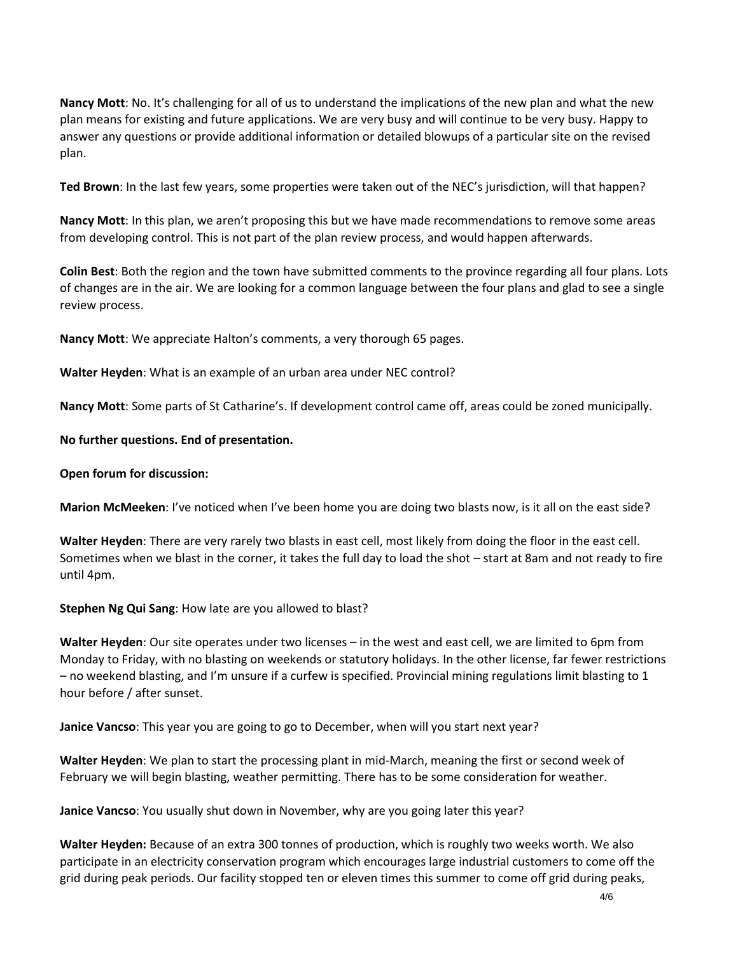**Nancy Mott**: No. It's challenging for all of us to understand the implications of the new plan and what the new plan means for existing and future applications. We are very busy and will continue to be very busy. Happy to answer any questions or provide additional information or detailed blowups of a particular site on the revised plan.

**Ted Brown**: In the last few years, some properties were taken out of the NEC's jurisdiction, will that happen?

**Nancy Mott**: In this plan, we aren't proposing this but we have made recommendations to remove some areas from developing control. This is not part of the plan review process, and would happen afterwards.

**Colin Best**: Both the region and the town have submitted comments to the province regarding all four plans. Lots of changes are in the air. We are looking for a common language between the four plans and glad to see a single review process.

**Nancy Mott**: We appreciate Halton's comments, a very thorough 65 pages.

**Walter Heyden**: What is an example of an urban area under NEC control?

**Nancy Mott**: Some parts of St Catharine's. If development control came off, areas could be zoned municipally.

### **No further questions. End of presentation.**

### **Open forum for discussion:**

**Marion McMeeken**: I've noticed when I've been home you are doing two blasts now, is it all on the east side?

**Walter Heyden**: There are very rarely two blasts in east cell, most likely from doing the floor in the east cell. Sometimes when we blast in the corner, it takes the full day to load the shot – start at 8am and not ready to fire until 4pm.

### **Stephen Ng Qui Sang**: How late are you allowed to blast?

**Walter Heyden**: Our site operates under two licenses – in the west and east cell, we are limited to 6pm from Monday to Friday, with no blasting on weekends or statutory holidays. In the other license, far fewer restrictions – no weekend blasting, and I'm unsure if a curfew is specified. Provincial mining regulations limit blasting to 1 hour before / after sunset.

**Janice Vancso**: This year you are going to go to December, when will you start next year?

**Walter Heyden**: We plan to start the processing plant in mid-March, meaning the first or second week of February we will begin blasting, weather permitting. There has to be some consideration for weather.

**Janice Vancso**: You usually shut down in November, why are you going later this year?

**Walter Heyden:** Because of an extra 300 tonnes of production, which is roughly two weeks worth. We also participate in an electricity conservation program which encourages large industrial customers to come off the grid during peak periods. Our facility stopped ten or eleven times this summer to come off grid during peaks,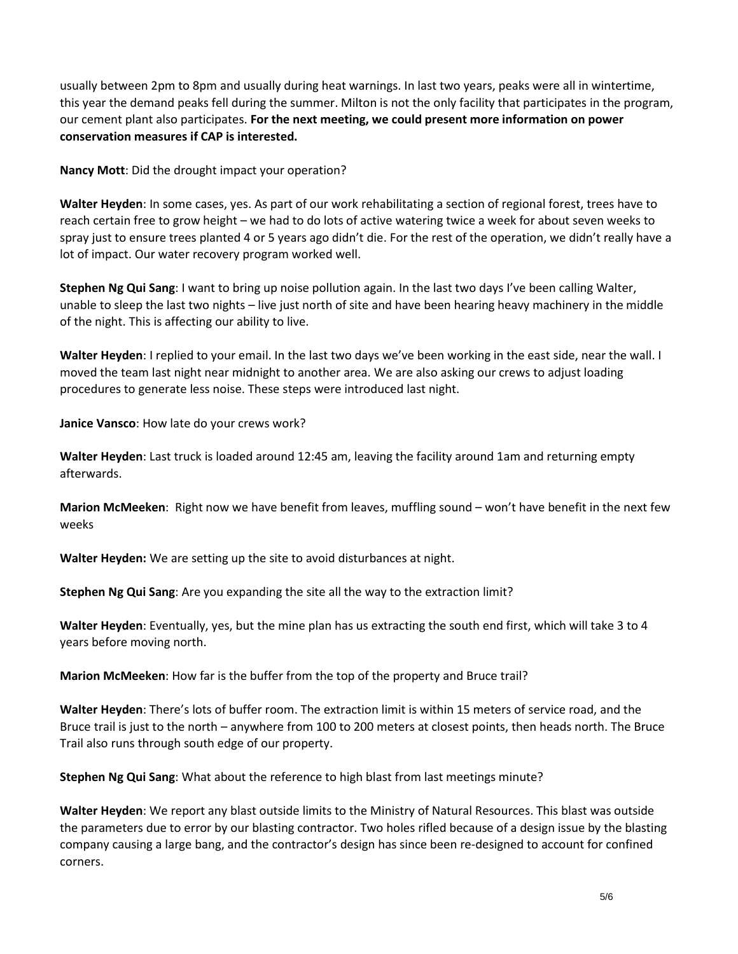usually between 2pm to 8pm and usually during heat warnings. In last two years, peaks were all in wintertime, this year the demand peaks fell during the summer. Milton is not the only facility that participates in the program, our cement plant also participates. **For the next meeting, we could present more information on power conservation measures if CAP is interested.** 

**Nancy Mott**: Did the drought impact your operation?

**Walter Heyden**: In some cases, yes. As part of our work rehabilitating a section of regional forest, trees have to reach certain free to grow height – we had to do lots of active watering twice a week for about seven weeks to spray just to ensure trees planted 4 or 5 years ago didn't die. For the rest of the operation, we didn't really have a lot of impact. Our water recovery program worked well.

**Stephen Ng Qui Sang**: I want to bring up noise pollution again. In the last two days I've been calling Walter, unable to sleep the last two nights – live just north of site and have been hearing heavy machinery in the middle of the night. This is affecting our ability to live.

**Walter Heyden**: I replied to your email. In the last two days we've been working in the east side, near the wall. I moved the team last night near midnight to another area. We are also asking our crews to adjust loading procedures to generate less noise. These steps were introduced last night.

**Janice Vansco**: How late do your crews work?

**Walter Heyden**: Last truck is loaded around 12:45 am, leaving the facility around 1am and returning empty afterwards.

**Marion McMeeken**: Right now we have benefit from leaves, muffling sound – won't have benefit in the next few weeks

**Walter Heyden:** We are setting up the site to avoid disturbances at night.

**Stephen Ng Qui Sang**: Are you expanding the site all the way to the extraction limit?

**Walter Heyden**: Eventually, yes, but the mine plan has us extracting the south end first, which will take 3 to 4 years before moving north.

**Marion McMeeken**: How far is the buffer from the top of the property and Bruce trail?

**Walter Heyden**: There's lots of buffer room. The extraction limit is within 15 meters of service road, and the Bruce trail is just to the north – anywhere from 100 to 200 meters at closest points, then heads north. The Bruce Trail also runs through south edge of our property.

**Stephen Ng Qui Sang**: What about the reference to high blast from last meetings minute?

**Walter Heyden**: We report any blast outside limits to the Ministry of Natural Resources. This blast was outside the parameters due to error by our blasting contractor. Two holes rifled because of a design issue by the blasting company causing a large bang, and the contractor's design has since been re-designed to account for confined corners.